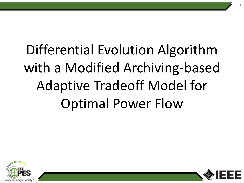# Differential Evolution Algorithm with a Modified Archiving-based Adaptive Tradeoff Model for Optimal Power Flow



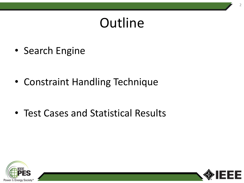### **Outline**

• Search Engine

• Constraint Handling Technique

• Test Cases and Statistical Results



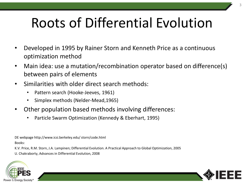### Roots of Differential Evolution

- Developed in 1995 by Rainer Storn and Kenneth Price as a continuous optimization method
- Main idea: use a mutation/recombination operator based on difference(s) between pairs of elements
- Similarities with older direct search methods:
	- Pattern search (Hooke-Jeeves, 1961)
	- Simplex methods (Nelder-Mead,1965)
- Other population based methods involving differences:
	- Particle Swarm Optimization (Kennedy & Eberhart, 1995)

DE webpage http://www.icsi.berkeley.edu/ storn/code.html Books:

K.V. Price, R.M. Storn, J.A. Lampinen; Differential Evolution. A Practical Approach to Global Optimization, 2005 U. Chakraborty, Advances in Differential Evolution, 2008



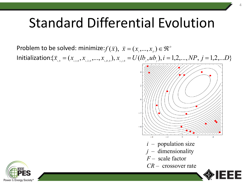$\mathsf{Problem}\ \mathsf{to}\ \mathsf{be}\ \mathsf{solved}\colon \mathsf{minimize}{:} f(\vec{x}),\ \vec{x}=(x_{_1},\!...,x_{_D})\!\in\!\mathfrak{R}^D$ Initialization: $\{\bar{x}_{i,0}=(x_{i,1,0},x_{i,2,0},...,x_{i,D,0}), x_{i,j,0}=U(lb_j,ub_j), i=1,2,...,NP, j=1,2,...D\}$ 



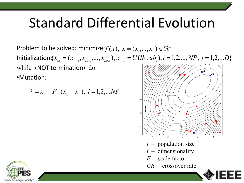$\mathsf{Problem}\ \mathsf{to}\ \mathsf{be}\ \mathsf{solved}\colon \mathsf{minimize}{:} f(\vec{x}),\ \vec{x}=(x_{_1},\!...,x_{_D})\!\in\!\mathfrak{R}^D$ Initialization: $\{\bar{x}_{i,0}=(x_{i,1,0},x_{i,2,0},...,x_{i,D,0}), x_{i,j,0}=U(lb_j,ub_j), i=1,2,...,NP, j=1,2,...D\}$ while ‹NOT termination› do  $\mathbf{r}$ •Mutation:

$$
\vec{v}_{i} = \vec{x}_{i} + F \cdot (\vec{x}_{i} - \vec{x}_{i}), \ i = 1, 2, ... NP
$$



5

*F –* scale factor

*CR –* crossover rate

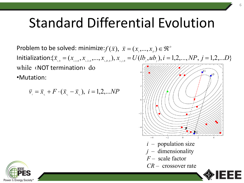$\mathsf{Problem}\ \mathsf{to}\ \mathsf{be}\ \mathsf{solved}\colon \mathsf{minimize}{:} f(\vec{x}),\ \vec{x}=(x_{_1},\!...,x_{_D})\!\in\!\mathfrak{R}^D$ Initialization: $\{\bar{x}_{i,0}=(x_{i,1,0},x_{i,2,0},...,x_{i,D,0}), x_{i,j,0}=U(lb_j,ub_j), i=1,2,...,NP, j=1,2,...D\}$ while ‹NOT termination› do •Mutation:

$$
\vec{v}_{i} = \vec{x}_{i} + F \cdot (\vec{x}_{i} - \vec{x}_{i}), \ i = 1, 2, ... NP
$$



6

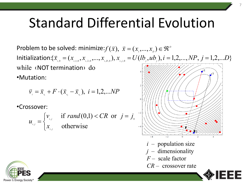$\mathsf{Problem}\ \mathsf{to}\ \mathsf{be}\ \mathsf{solved}\colon \mathsf{minimize}{:} f(\vec{x}),\ \vec{x}=(x_{_1},\!...,x_{_D})\!\in\!\mathfrak{R}^D$ Initialization: $\{\bar{x}_{i,0}=(x_{i,1,0},x_{i,2,0},...,x_{i,D,0}), x_{i,j,0}=U(lb_j,ub_j), i=1,2,...,NP, j=1,2,...D\}$ while ‹NOT termination› do •Mutation:

$$
\vec{v}_{i} = \vec{x}_{r_{i}} + F \cdot (\vec{x}_{r_{i}} - \vec{x}_{r_{i}}), \ i = 1, 2, ... NP
$$

•Crossover:

$$
u_{i,j} = \begin{cases} v_{i,j} & \text{if } rand(0,1) < CR \text{ or } j = j_0 \\ x_{i,j} & \text{otherwise} \end{cases}
$$

- *i –* population size
- *j –* dimensionality
- *F –* scale factor
- *CR –* crossover rate

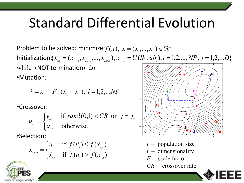$\mathsf{Problem}\ \mathsf{to}\ \mathsf{be}\ \mathsf{solved}\colon \mathsf{minimize}{:} f(\vec{x}),\ \vec{x}=(x_{_1},\!...,x_{_D})\!\in\!\mathfrak{R}^D$ Initialization: $\{\bar{x}_{i,0}=(x_{i,1,0},x_{i,2,0},...,x_{i,D,0}), x_{i,j,0}=U(lb_j,ub_j), i=1,2,...,NP, j=1,2,...D\}$ while ‹NOT termination› do  $\widehat{\mathbf{r}^1}$ •Mutation:

$$
\vec{v}_{i} = \vec{x}_{r_{i}} + F \cdot (\vec{x}_{r_{2}} - \vec{x}_{r_{3}}), \ i = 1, 2, ... NP
$$

•Crossover:

$$
V_{i,j} = \begin{cases} V_{i,j} & \text{if } rand(0,1) < CR \text{ or } j = j_0 \\ x_{i,j} & \text{otherwise} \end{cases}
$$

•Selection:

*u*

,

 $\overline{\mathcal{L}}$ 

$$
\vec{x}_{_{i,g+1}} = \begin{cases} \vec{u}_{_i} & \text{if } f(\vec{u}_{_i}) \le f(\vec{x}_{_{i,g}}) \\ \vec{x}_{_{i,g}} & \text{if } f(\vec{u}_{_i}) > f(\vec{x}_{_{i,g}}) \end{cases}
$$

- *i –* population size *j –* dimensionality
- *F –* scale factor
- *CR –* crossover rate

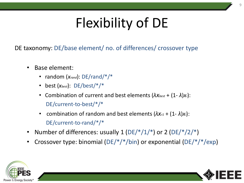# Flexibility of DE

DE taxonomy: DE/base element/ no. of differences/ crossover type

- Base element:
	- random (*xrand*): DE/rand/\*/\*
	- best (*xbest*): DE/best/\*/\*
	- **Combination of current and best elements**  $(λX_{best} + (1-λ)X_i)$ **:** DE/current-to-best/\*/\*
	- combination of random and best elements  $(\lambda x_{r1} + (1-\lambda)x_i)$ : DE/current-to-rand/\*/\*
- Number of differences: usually  $1 (DE/*/1/*)$  or  $2 (DE/*/2/*)$
- Crossover type: binomial ( $DE/*/*/bin$ ) or exponential ( $DE/*/*/exp$ )



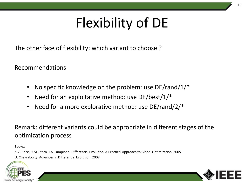## Flexibility of DE

The other face of flexibility: which variant to choose ?

Recommendations

- No specific knowledge on the problem: use DE/rand/1/\*
- Need for an exploitative method: use DE/best/1/\*
- Need for a more explorative method: use DE/rand/2/\*

Remark: different variants could be appropriate in different stages of the optimization process

Books:

K.V. Price, R.M. Storn, J.A. Lampinen; Differential Evolution. A Practical Approach to Global Optimization, 2005 U. Chakraborty, Advances in Differential Evolution, 2008



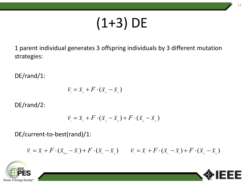# (1+3) DE

1 parent individual generates 3 offspring individuals by 3 different mutation strategies:

DE/rand/1:

$$
\vec{\nu}_{i} = \vec{x}_{r_{i}} + F \cdot (\vec{x}_{r_{2}} - \vec{x}_{r_{3}})
$$

DE/rand/2:

$$
\vec{v}_{i} = \vec{x}_{r_{i}} + F \cdot (\vec{x}_{r_{2}} - \vec{x}_{r_{3}}) + F \cdot (\vec{x}_{r_{4}} - \vec{x}_{r_{5}})
$$

DE/current-to-best(rand)/1:

$$
\vec{v}_{i} = \vec{x}_{i} + F \cdot (\vec{x}_{\text{best}} - \vec{x}_{i}) + F \cdot (\vec{x}_{\text{test}} - \vec{x}_{\text{test}}) \qquad \vec{v}_{i} = \vec{x}_{i} + F \cdot (\vec{x}_{\text{test}} - \vec{x}_{i}) + F \cdot (\vec{x}_{\text{test}} - \vec{x}_{\text{test}})
$$



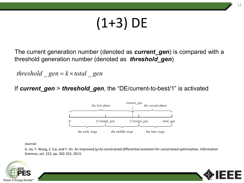# (1+3) DE

The current generation number (denoted as *current\_gen*) is compared with a threshold generation number (denoted as *threshold\_gen*)

*threshold*  $gen = k \times total$  *gen* 

If *current\_gen* > *threshold\_gen*, the "DE/current-to-best/1" is activated



Journal:

G. Jia, Y. Wang, Z. Cai, and Y. Jin. An improved  $(\mu+\lambda)$ -constrained differential evolution for constrained optimization. Information Sciences, vol. 222, pp. 302-322, 2013.



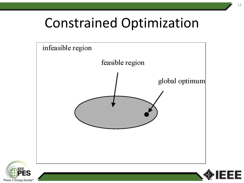### Constrained Optimization





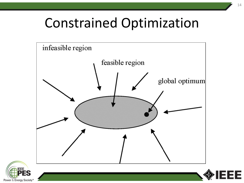### Constrained Optimization





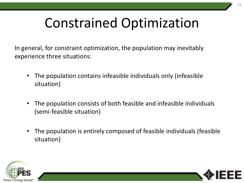### Constrained Optimization

In general, for constraint optimization, the population may inevitably experience three situations:

- The population contains infeasible individuals only (infeasible situation)
- The population consists of both feasible and infeasible individuals (semi-feasible situation)
- The population is entirely composed of feasible individuals (feasible situation)



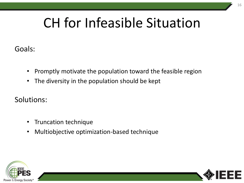### CH for Infeasible Situation

Goals:

- Promptly motivate the population toward the feasible region
- The diversity in the population should be kept

Solutions:

- Truncation technique
- Multiobjective optimization-based technique



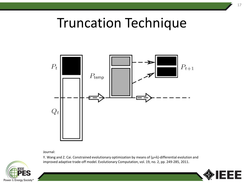### Truncation Technique



Journal:



Y. Wang and Z. Cai. Constrained evolutionary optimization by means of (μ+λ)-differential evolution and improved adaptive trade-off model. Evolutionary Computation, vol. 19, no. 2, pp. 249-285, 2011.

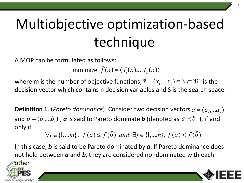# Multiobjective optimization-based technique

A MOP can be formulated as follows:

minimize  $\vec{f}(\vec{x}) = (f(x), f_{\vec{x}}(\vec{x})))$ 

where m is the number of objective functions,  $\vec{x} = (x_{1},...x_{n}) \in S \subset \mathfrak{R}^{n}$  is the decision vector which contains n decision variables and S is the search space.

 $\bf{Definition 1.}$  (*Pareto dominance*): Consider two decision vectors  $\vec{a} = (a_{\scriptscriptstyle 1}^{}, ... a_{\scriptscriptstyle n}^{})$ and  $\bar{b} = (b_1,...b_n)$ , a is said to Pareto dominate b (denoted as  $\bar{a} \prec \bar{b}$ ), if and only if

$$
\forall i \in \{1,...m\}, f_i(\vec{a}) \le f_i(\vec{b}) \text{ and } \exists j \in \{1,...m\}, f_i(\vec{a}) < f_i(\vec{b})
$$

In this case, *b* is said to be Pareto dominated by *a*. If Pareto dominance does not hold between *a* and *b*, they are considered nondominated with each



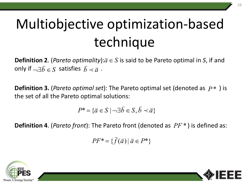# Multiobjective optimization-based technique

**Definition 2**. (*Pareto optimality*): $\vec{a} \in S$  is said to be Pareto optimal in *S*, if and  $\mathbf{b}$  entirely  $\mathbf{z}$ . (*refer opermancy*)  $\mathbf{b}$  only if  $\neg \exists \bar{b} \in S$  satisfies  $\bar{b} \prec \bar{a}$ .  $\frac{1}{7}$ 

**Definition 3.** (*Pareto optimal set*): The Pareto optimal set (denoted as  $P^*$ ) is the set of all the Pareto optimal solutions:

$$
P^* = \{ \vec{a} \in S \mid \neg \exists \vec{b} \in S, \vec{b} \prec \vec{a} \}
$$

**Definition 4**. (*Pareto front*): The Pareto front (denoted as  $PF^*$ ) is defined as:

 $PF^* = \{ f(\vec{a}) | \vec{a} \in P^* \}$ 



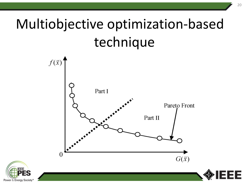# Multiobjective optimization-based technique

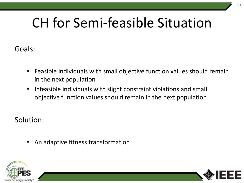### CH for Semi-feasible Situation

Goals:

- Feasible individuals with small objective function values should remain in the next population
- Infeasible individuals with slight constraint violations and small objective function values should remain in the next population

Solution:

• An adaptive fitness transformation



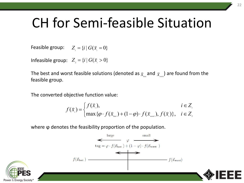### CH for Semi-feasible Situation

Feasible group:  $Z_i = \{i | G(\vec{x}_i = 0)\}$ 

Infeasible group:  $Z_{\scriptscriptstyle 2} = \{i \mid G(\vec{x}^{\scriptscriptstyle 2}_i > 0\}$ 

The best and worst feasible solutions (denoted as  $_{\mathcal{\vec{X}}_{\textit{best}}}$  and  $_{\mathcal{\vec{X}}_{\textit{worst}}}$ ) are found from the feasible group.  $\overrightarrow{ }$  $\overline{\mathbf{\overline{X}}}_{_{worst}}$  $\overrightarrow{ }$ 

The converted objective function value:

$$
f(\vec{x}_i) = \begin{cases} f(\vec{x}_i), & i \in Z_i \\ \max{\lbrace \varphi \cdot f(\vec{x}_{\text{best}}) + (1-\varphi) \cdot f(\vec{x}_{\text{worst}}), f(\vec{x}_i) \rbrace}, & i \in Z_i \end{cases}
$$

where φ denotes the feasibility proportion of the population.



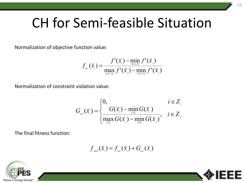### CH for Semi-feasible Situation

Normalization of objective function value:

$$
f_{\text{nor}}(\bar{x}_i) = \frac{f'(\bar{x}_i) - \min_{j \in Z_1 \cup Z_2} f'(\bar{x}_j)}{\max_{j \in Z_1 \cup Z_2} f'(\bar{x}_j) - \min_{j \in Z_1 \cup Z_2} f'(\bar{x}_j)}
$$

Normalization of constraint violation value:

$$
G_{\textsf{\tiny nor}}(\vec{x}_i) = \begin{cases} 0, & i \in Z_{\textsf{\tiny n}} \\ G(\vec{x}_i) - \min_{\textsf{\tiny j} \in Z_{\textsf{\tiny 2}}} G(\vec{x}_j) & i \in Z_{\textsf{\tiny 2}} \\ \max_{\textsf{\tiny j} \in Z_{\textsf{\tiny 2}}} G(\vec{x}_j) - \min_{\textsf{\tiny j} \in Z_{\textsf{\tiny 2}}} G(\vec{x}_j) & i \in Z_{\textsf{\tiny 2}} \end{cases}
$$

The final fitness function:

$$
f_{\text{final}}(\vec{x}_i) = f_{\text{nor}}(\vec{x}_i) + G_{\text{nor}}(\vec{x}_i)
$$



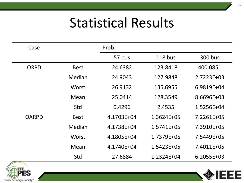| Case         |              | Prob.      |                |              |
|--------------|--------------|------------|----------------|--------------|
|              |              | 57 bus     | $118$ bus      | 300 bus      |
| <b>ORPD</b>  | <b>Best</b>  | 24.6382    | 123.8418       | 400.0851     |
|              | Median       | 24.9043    | 127.9848       | 2.7223E+03   |
|              | <b>Worst</b> | 26.9132    | 135.6955       | 6.9819E+04   |
|              | Mean         | 25.0414    | 128.3549       | 8.6696E+03   |
|              | Std          | 0.4296     | 2.4535         | 1.5256E+04   |
| <b>OARPD</b> | <b>Best</b>  | 4.1703E+04 | 1.3624E+05     | 7.2261E+05   |
|              | Median       | 4.1738E+04 | $1.5741E + 05$ | 7.3910E+05   |
|              | Worst        | 4.1805E+04 | 1.7379E+05     | 7.5449E+05   |
|              | Mean         | 4.1740E+04 | 1.5423E+05     | 7.4011E+05   |
|              | Std          | 27.6884    | 1.2324E+04     | $6.2055E+03$ |



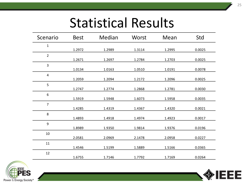| Scenario       | <b>Best</b> | Median | Worst  | Mean   | Std    |
|----------------|-------------|--------|--------|--------|--------|
| $\mathbf{1}$   | 1.2972      | 1.2989 | 1.3114 | 1.2995 | 0.0025 |
| $\overline{2}$ | 1.2671      | 1.2697 | 1.2784 | 1.2703 | 0.0025 |
| 3              | 1.0134      | 1.0163 | 1.0510 | 1.0191 | 0.0078 |
| $\sqrt{4}$     | 1.2059      | 1.2094 | 1.2172 | 1.2096 | 0.0025 |
| 5              | 1.2747      | 1.2774 | 1.2868 | 1.2781 | 0.0030 |
| 6              | 1.5919      | 1.5948 | 1.6073 | 1.5958 | 0.0035 |
| $\overline{7}$ | 1.4285      | 1.4319 | 1.4367 | 1.4320 | 0.0021 |
| 8              | 1.4893      | 1.4918 | 1.4974 | 1.4923 | 0.0017 |
| 9              | 1.8989      | 1.9350 | 1.9814 | 1.9376 | 0.0196 |
| 10             | 2.0581      | 2.0969 | 2.1478 | 2.0958 | 0.0227 |
| 11             | 1.4546      | 1.5199 | 1.5889 | 1.5166 | 0.0365 |
| 12             | 1.6755      | 1.7146 | 1.7792 | 1.7169 | 0.0264 |



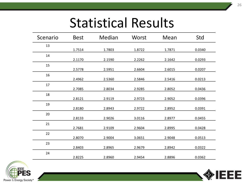| Scenario | <b>Best</b> | Median | Worst  | Mean   | Std    |
|----------|-------------|--------|--------|--------|--------|
| 13       | 1.7514      | 1.7803 | 1.8722 | 1.7871 | 0.0340 |
| 14       | 2.1170      | 2.1590 | 2.2262 | 2.1642 | 0.0293 |
| 15       | 2.5778      | 2.5951 | 2.6604 | 2.6015 | 0.0207 |
| 16       | 2.4962      | 2.5360 | 2.5846 | 2.5416 | 0.0213 |
| 17       | 2.7085      | 2.8034 | 2.9285 | 2.8052 | 0.0436 |
| 18       | 2.8121      | 2.9119 | 2.9723 | 2.9052 | 0.0396 |
| 19       | 2.8180      | 2.8943 | 2.9722 | 2.8952 | 0.0391 |
| 20       | 2.8133      | 2.9026 | 3.0116 | 2.8977 | 0.0455 |
| 21       | 2.7681      | 2.9109 | 2.9604 | 2.8995 | 0.0428 |
| 22       | 2.8070      | 2.9004 | 3.0651 | 2.9048 | 0.0513 |
| 23       | 2.8403      | 2.8965 | 2.9679 | 2.8942 | 0.0322 |
| 24       | 2.8225      | 2.8960 | 2.9454 | 2.8896 | 0.0362 |



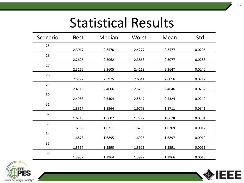| Scenario | <b>Best</b> | Median | Worst  | Mean   | Std    |
|----------|-------------|--------|--------|--------|--------|
| 25       | 2.3017      | 2.3570 | 2.4277 | 2.3577 | 0.0296 |
| 26       | 2.2626      | 2.3062 | 2.3863 | 2.3077 | 0.0283 |
| 27       | 2.3165      | 2.3605 | 2.4119 | 2.3647 | 0.0240 |
| 28       | 2.5722      | 2.5975 | 2.6641 | 2.6016 | 0.0212 |
| 29       | 2.4116      | 2.4606 | 2.5259 | 2.4646 | 0.0282 |
| 30       | 2.4958      | 2.5304 | 2.5847 | 2.5324 | 0.0242 |
| 31       | 1.8317      | 1.8564 | 1.9773 | 1.8711 | 0.0341 |
| 32       |             |        |        |        |        |
| 33       | 1.6215      | 1.6607 | 1.7272 | 1.6678 | 0.0301 |
| 34       | 1.6186      | 1.6211 | 1.6233 | 1.6209 | 0.0012 |
| 35       | 1.6878      | 1.6895 | 1.6925 | 1.6897 | 0.0012 |
| 36       | 1.3567      | 1.3590 | 1.3621 | 1.3591 | 0.0011 |
|          | 1.3937      | 1.3964 | 1.3992 | 1.3966 | 0.0015 |



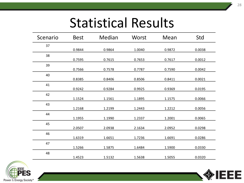| Scenario | <b>Best</b> | Median | Worst  | Mean   | Std    |
|----------|-------------|--------|--------|--------|--------|
| 37       | 0.9844      | 0.9864 | 1.0040 | 0.9872 | 0.0038 |
| 38       | 0.7595      | 0.7615 | 0.7653 | 0.7617 | 0.0012 |
| 39       | 0.7566      | 0.7578 | 0.7787 | 0.7590 | 0.0042 |
| 40       | 0.8385      | 0.8406 | 0.8506 | 0.8411 | 0.0021 |
| 41       | 0.9242      | 0.9284 | 0.9925 | 0.9369 | 0.0195 |
| 42       | 1.1524      | 1.1561 | 1.1895 | 1.1575 | 0.0066 |
| 43       | 1.2168      | 1.2199 | 1.2443 | 1.2212 | 0.0056 |
| 44       | 1.1955      | 1.1990 | 1.2337 | 1.2001 | 0.0065 |
| 45       | 2.0507      | 2.0938 | 2.1634 | 2.0952 | 0.0298 |
| 46       | 1.6319      | 1.6651 | 1.7236 | 1.6691 | 0.0286 |
| 47       | 1.5266      | 1.5875 | 1.6484 | 1.5900 | 0.0330 |
| 48       | 1.4523      | 1.5132 | 1.5638 | 1.5055 | 0.0320 |



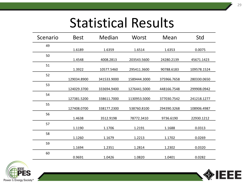| Scenario | <b>Best</b> | Median      | Worst        | Mean        | Std         |
|----------|-------------|-------------|--------------|-------------|-------------|
| 49       | 1.6189      | 1.6359      | 1.6514       | 1.6353      | 0.0075      |
| 50       | 1.4548      | 4008.2813   | 203543.5600  | 24280.2139  | 45671.1423  |
| 51       | 1.3922      | 10577.5460  | 295411.3600  | 90788.6183  | 109578.1524 |
| 52       | 129034.8900 | 341533.9000 | 1589444.3000 | 375966.7658 | 280330.0650 |
| 53       | 124029.3700 | 333694.9400 | 1276441.5000 | 448166.7548 | 299908.0942 |
| 54       | 127381.5200 | 338611.7000 | 1130953.5000 | 377030.7542 | 241218.1277 |
| 55       | 127408.0700 | 338177.2300 | 538760.8100  | 294390.3268 | 108906.4987 |
| 56       | 1.4638      | 3512.9198   | 78772.3410   | 9736.6190   | 22930.1212  |
| 57       | 1.1190      | 1.1706      | 1.2191       | 1.1688      | 0.0313      |
| 58       | 1.1260      | 1.1679      | 1.2213       | 1.1702      | 0.0269      |
| 59       | 1.1694      | 1.2351      | 1.2814       | 1.2302      | 0.0320      |
| 60       | 0.9691      | 1.0426      | 1.0820       | 1.0401      | 0.0282      |



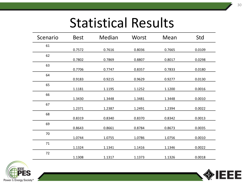| Scenario | <b>Best</b> | Median | Worst  | Mean   | Std    |
|----------|-------------|--------|--------|--------|--------|
| 61       | 0.7572      | 0.7616 | 0.8036 | 0.7665 | 0.0109 |
| 62       | 0.7802      | 0.7869 | 0.8807 | 0.8017 | 0.0298 |
| 63       | 0.7706      | 0.7747 | 0.8357 | 0.7833 | 0.0180 |
| 64       | 0.9183      | 0.9215 | 0.9629 | 0.9277 | 0.0130 |
| 65       | 1.1181      | 1.1195 | 1.1252 | 1.1200 | 0.0016 |
| 66       | 1.3430      | 1.3448 | 1.3481 | 1.3448 | 0.0010 |
| 67       | 1.2371      | 1.2387 | 1.2491 | 1.2394 | 0.0022 |
| 68       | 0.8319      | 0.8340 | 0.8370 | 0.8342 | 0.0013 |
| 69       | 0.8643      | 0.8661 | 0.8784 | 0.8673 | 0.0035 |
| 70       | 1.0744      | 1.0755 | 1.0786 | 1.0756 | 0.0010 |
| 71       | 1.1324      | 1.1341 | 1.1416 | 1.1346 | 0.0022 |
| 72       | 1.1308      | 1.1317 | 1.1373 | 1.1326 | 0.0018 |



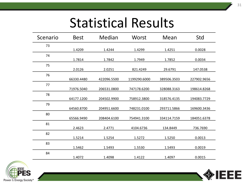| Scenario | <b>Best</b> | Median      | Worst        | Mean        | Std         |
|----------|-------------|-------------|--------------|-------------|-------------|
| 73       | 1.4209      | 1.4244      | 1.4299       | 1.4251      | 0.0028      |
| 74       | 1.7814      | 1.7842      | 1.7949       | 1.7852      | 0.0034      |
| 75       | 2.0126      | 2.0251      | 821.4249     | 29.6791     | 147.0538    |
| 76       | 66330.4480  | 422096.5500 | 1199290.6000 | 389506.3503 | 227902.9656 |
| 77       | 71976.5040  | 206531.0800 | 747178.6200  | 328088.3163 | 198614.8268 |
| 78       | 64177.1200  | 204502.9900 | 758912.3800  | 318576.4135 | 194083.7729 |
| 79       | 64560.8700  | 204951.6600 | 748231.0100  | 293711.5866 | 169600.3436 |
| 80       | 65566.9490  | 208404.6100 | 754941.3100  | 334114.7159 | 184051.6378 |
| 81       | 2.4623      | 2.4771      | 4104.6736    | 134.8449    | 736.7690    |
| 82       | 1.5214      | 1.5254      | 1.5272       | 1.5250      | 0.0013      |
| 83       | 1.5462      | 1.5493      | 1.5530       | 1.5493      | 0.0019      |
| 84       | 1.4072      | 1.4098      | 1.4122       | 1.4097      | 0.0015      |



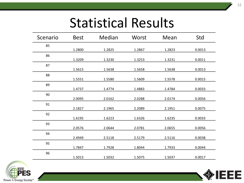| Scenario | <b>Best</b> | Median | Worst  | Mean   | Std    |
|----------|-------------|--------|--------|--------|--------|
| 85       | 1.2800      | 1.2825 | 1.2867 | 1.2823 | 0.0013 |
| 86       | 1.3209      | 1.3230 | 1.3253 | 1.3231 | 0.0011 |
| 87       |             |        |        |        |        |
| 88       | 1.5615      | 1.5638 | 1.5658 | 1.5638 | 0.0013 |
| 89       | 1.5551      | 1.5580 | 1.5609 | 1.5578 | 0.0015 |
| 90       | 1.4737      | 1.4774 | 1.4883 | 1.4784 | 0.0033 |
|          | 2.0095      | 2.0162 | 2.0288 | 2.0174 | 0.0056 |
| 91       | 2.1827      | 2.1965 | 2.2089 | 2.1951 | 0.0075 |
| 92       | 1.6195      | 1.6223 | 1.6326 | 1.6235 | 0.0033 |
| 93       | 2.0576      | 2.0644 | 2.0781 | 2.0655 | 0.0056 |
| 94       | 2.4949      | 2.5118 | 2.5179 | 2.5116 | 0.0038 |
| 95       | 1.7847      | 1.7928 | 1.8044 | 1.7933 | 0.0044 |
| 96       |             |        |        |        |        |
|          | 1.5013      | 1.5032 | 1.5075 | 1.5037 | 0.0017 |